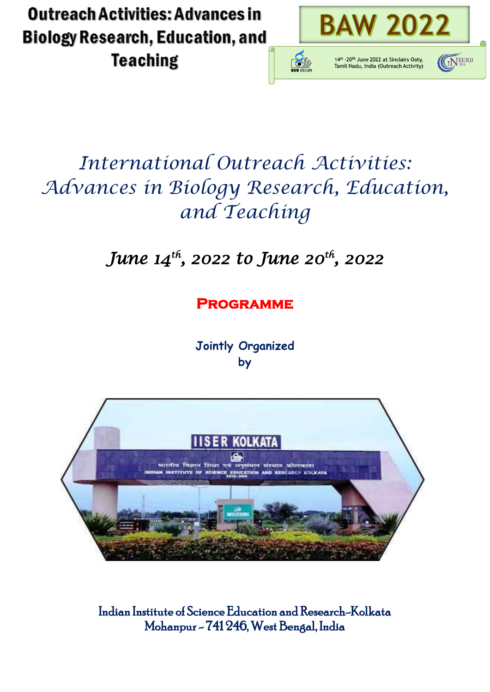

# *International Outreach Activities: Advances in Biology Research, Education, and Teaching*

*June 14th, 2022 to June 20th, 2022* 

**Programme** 

**Jointly Organized by**



Indian Institute of Science Education and Research-Kolkata Mohanpur - 741 246, West Bengal, India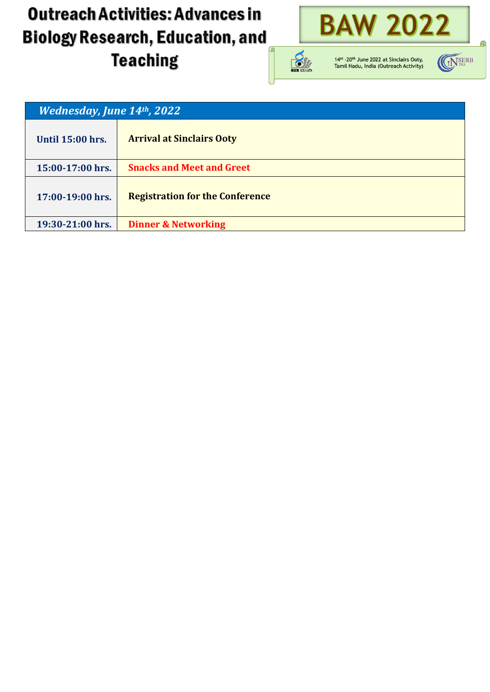

14<sup>st</sup> -20<sup>th</sup> June 2022 at Sinclairs Ooty,<br>Tamil Nadu, India (Outreach Activity)

**BAW 2022** 



| <b>Wednesday, June 14th, 2022</b> |                                        |  |
|-----------------------------------|----------------------------------------|--|
| <b>Until 15:00 hrs.</b>           | <b>Arrival at Sinclairs Ooty</b>       |  |
| 15:00-17:00 hrs.                  | <b>Snacks and Meet and Greet</b>       |  |
| 17:00-19:00 hrs.                  | <b>Registration for the Conference</b> |  |
| 19:30-21:00 hrs.                  | <b>Dinner &amp; Networking</b>         |  |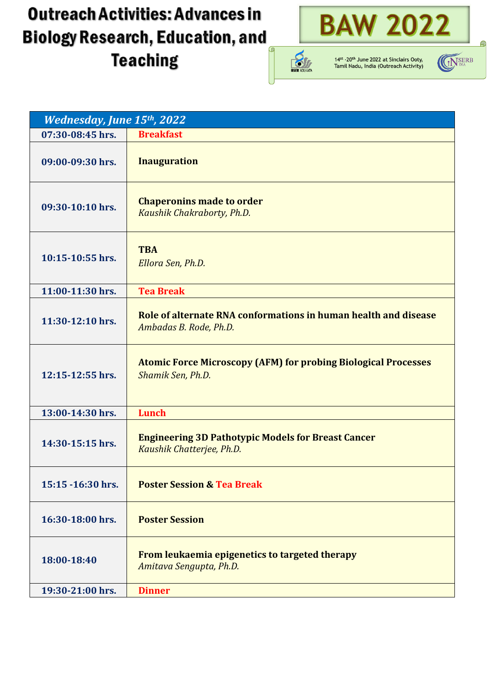



14<sup>st</sup> -20<sup>th</sup> June 2022 at Sinclairs Ooty,<br>Tamil Nadu, India (Outreach Activity)



| <b>Wednesday, June 15th, 2022</b> |                                                                                            |
|-----------------------------------|--------------------------------------------------------------------------------------------|
| 07:30-08:45 hrs.                  | <b>Breakfast</b>                                                                           |
| 09:00-09:30 hrs.                  | <b>Inauguration</b>                                                                        |
| 09:30-10:10 hrs.                  | <b>Chaperonins made to order</b><br>Kaushik Chakraborty, Ph.D.                             |
| 10:15-10:55 hrs.                  | <b>TBA</b><br>Ellora Sen, Ph.D.                                                            |
| 11:00-11:30 hrs.                  | <b>Tea Break</b>                                                                           |
| 11:30-12:10 hrs.                  | Role of alternate RNA conformations in human health and disease<br>Ambadas B. Rode, Ph.D.  |
| 12:15-12:55 hrs.                  | <b>Atomic Force Microscopy (AFM) for probing Biological Processes</b><br>Shamik Sen, Ph.D. |
| 13:00-14:30 hrs.                  | <b>Lunch</b>                                                                               |
| 14:30-15:15 hrs.                  | <b>Engineering 3D Pathotypic Models for Breast Cancer</b><br>Kaushik Chatterjee, Ph.D.     |
| 15:15 -16:30 hrs.                 | <b>Poster Session &amp; Tea Break</b>                                                      |
| 16:30-18:00 hrs.                  | <b>Poster Session</b>                                                                      |
| 18:00-18:40                       | From leukaemia epigenetics to targeted therapy<br>Amitava Sengupta, Ph.D.                  |
| 19:30-21:00 hrs.                  | <b>Dinner</b>                                                                              |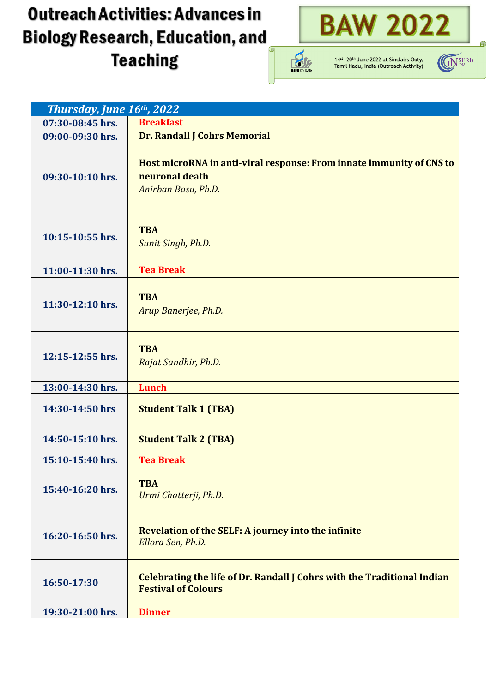



14<sup>st</sup> -20<sup>th</sup> June 2022 at Sinclairs Ooty,<br>Tamil Nadu, India (Outreach Activity)



| <b>Thursday, June 16th, 2022</b> |                                                                                                               |
|----------------------------------|---------------------------------------------------------------------------------------------------------------|
| 07:30-08:45 hrs.                 | <b>Breakfast</b>                                                                                              |
| 09:00-09:30 hrs.                 | Dr. Randall J Cohrs Memorial                                                                                  |
| 09:30-10:10 hrs.                 | Host microRNA in anti-viral response: From innate immunity of CNS to<br>neuronal death<br>Anirban Basu, Ph.D. |
| $10:15-10:55$ hrs.               | <b>TBA</b><br><b>Sunit Singh, Ph.D.</b>                                                                       |
| 11:00-11:30 hrs.                 | <b>Tea Break</b>                                                                                              |
| 11:30-12:10 hrs.                 | <b>TBA</b><br>Arup Banerjee, Ph.D.                                                                            |
| $12:15-12:55$ hrs.               | <b>TBA</b><br>Rajat Sandhir, Ph.D.                                                                            |
| 13:00-14:30 hrs.                 | <b>Lunch</b>                                                                                                  |
| 14:30-14:50 hrs                  | <b>Student Talk 1 (TBA)</b>                                                                                   |
| 14:50-15:10 hrs.                 | <b>Student Talk 2 (TBA)</b>                                                                                   |
| 15:10-15:40 hrs.                 | <b>Tea Break</b>                                                                                              |
| 15:40-16:20 hrs.                 | <b>TBA</b><br>Urmi Chatterji, Ph.D.                                                                           |
| 16:20-16:50 hrs.                 | <b>Revelation of the SELF: A journey into the infinite</b><br>Ellora Sen, Ph.D.                               |
| 16:50-17:30                      | <b>Celebrating the life of Dr. Randall J Cohrs with the Traditional Indian</b><br><b>Festival of Colours</b>  |
| 19:30-21:00 hrs.                 | <b>Dinner</b>                                                                                                 |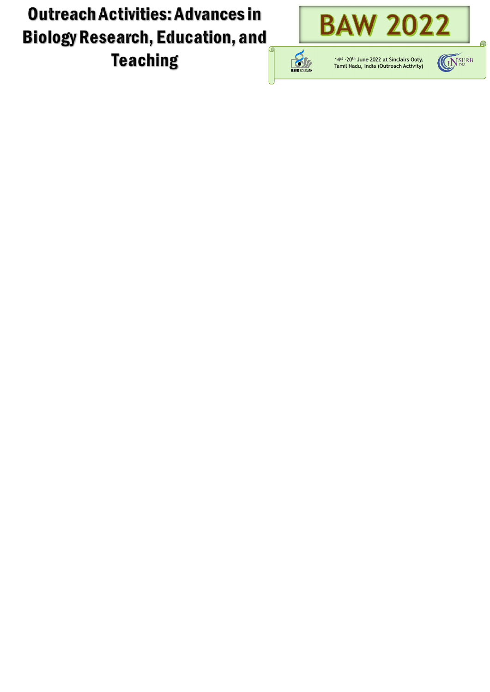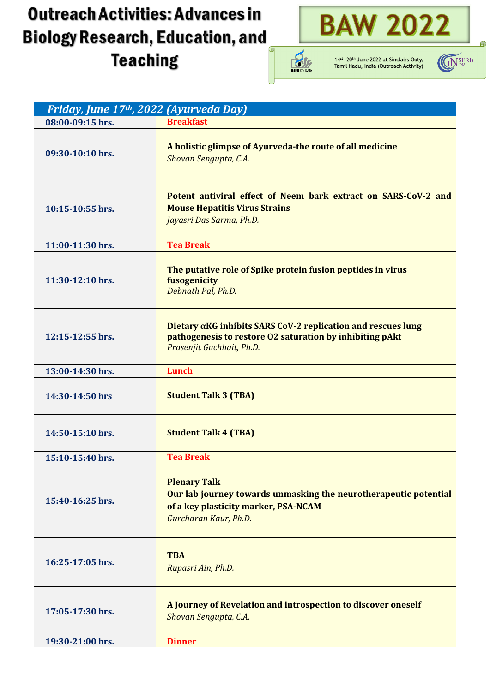



14<sup>st</sup> -20<sup>th</sup> June 2022 at Sinclairs Ooty,<br>Tamil Nadu, India (Outreach Activity)



| Friday, June 17th, 2022 (Ayurveda Day) |                                                                                                                                                          |  |
|----------------------------------------|----------------------------------------------------------------------------------------------------------------------------------------------------------|--|
| 08:00-09:15 hrs.                       | <b>Breakfast</b>                                                                                                                                         |  |
| 09:30-10:10 hrs.                       | A holistic glimpse of Ayurveda-the route of all medicine<br>Shovan Sengupta, C.A.                                                                        |  |
| 10:15-10:55 hrs.                       | Potent antiviral effect of Neem bark extract on SARS-CoV-2 and<br><b>Mouse Hepatitis Virus Strains</b><br>Jayasri Das Sarma, Ph.D.                       |  |
| 11:00-11:30 hrs.                       | <b>Tea Break</b>                                                                                                                                         |  |
| 11:30-12:10 hrs.                       | The putative role of Spike protein fusion peptides in virus<br>fusogenicity<br>Debnath Pal, Ph.D.                                                        |  |
| 12:15-12:55 hrs.                       | Dietary αKG inhibits SARS CoV-2 replication and rescues lung<br>pathogenesis to restore 02 saturation by inhibiting pAkt<br>Prasenjit Guchhait, Ph.D.    |  |
| 13:00-14:30 hrs.                       | Lunch                                                                                                                                                    |  |
| 14:30-14:50 hrs                        | <b>Student Talk 3 (TBA)</b>                                                                                                                              |  |
| 14:50-15:10 hrs.                       | <b>Student Talk 4 (TBA)</b>                                                                                                                              |  |
| 15:10-15:40 hrs.                       | <b>Tea Break</b>                                                                                                                                         |  |
| 15:40-16:25 hrs.                       | <b>Plenary Talk</b><br>Our lab journey towards unmasking the neurotherapeutic potential<br>of a key plasticity marker, PSA-NCAM<br>Gurcharan Kaur, Ph.D. |  |
| 16:25-17:05 hrs.                       | <b>TBA</b><br>Rupasri Ain, Ph.D.                                                                                                                         |  |
| 17:05-17:30 hrs.                       | A Journey of Revelation and introspection to discover oneself<br>Shovan Sengupta, C.A.                                                                   |  |
| 19:30-21:00 hrs.                       | <b>Dinner</b>                                                                                                                                            |  |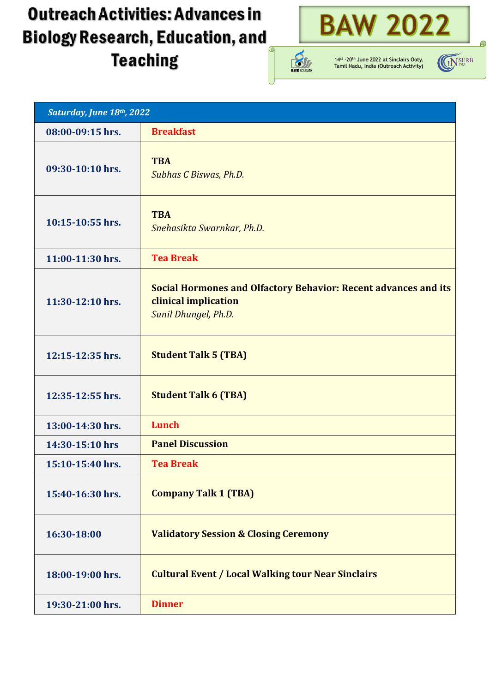



14<sup>st</sup> -20<sup>th</sup> June 2022 at Sinclairs Ooty,<br>Tamil Nadu, India (Outreach Activity)



| Saturday, June 18th, 2022 |                                                                                                                        |  |
|---------------------------|------------------------------------------------------------------------------------------------------------------------|--|
| 08:00-09:15 hrs.          | <b>Breakfast</b>                                                                                                       |  |
| 09:30-10:10 hrs.          | <b>TBA</b><br>Subhas C Biswas, Ph.D.                                                                                   |  |
| $10:15-10:55$ hrs.        | <b>TBA</b><br>Snehasikta Swarnkar, Ph.D.                                                                               |  |
| 11:00-11:30 hrs.          | <b>Tea Break</b>                                                                                                       |  |
| 11:30-12:10 hrs.          | <b>Social Hormones and Olfactory Behavior: Recent advances and its</b><br>clinical implication<br>Sunil Dhungel, Ph.D. |  |
| 12:15-12:35 hrs.          | <b>Student Talk 5 (TBA)</b>                                                                                            |  |
| 12:35-12:55 hrs.          | <b>Student Talk 6 (TBA)</b>                                                                                            |  |
| 13:00-14:30 hrs.          | Lunch                                                                                                                  |  |
| 14:30-15:10 hrs           | <b>Panel Discussion</b>                                                                                                |  |
| 15:10-15:40 hrs.          | <b>Tea Break</b>                                                                                                       |  |
| 15:40-16:30 hrs.          | <b>Company Talk 1 (TBA)</b>                                                                                            |  |
| 16:30-18:00               | <b>Validatory Session &amp; Closing Ceremony</b>                                                                       |  |
| 18:00-19:00 hrs.          | <b>Cultural Event / Local Walking tour Near Sinclairs</b>                                                              |  |
| 19:30-21:00 hrs.          | <b>Dinner</b>                                                                                                          |  |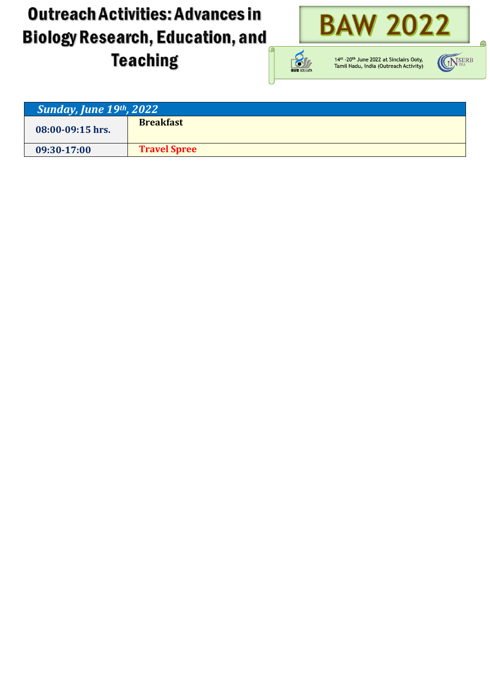



14<sup>st</sup> -20<sup>th</sup> June 2022 at Sinclairs Ooty,<br>Tamil Nadu, India (Outreach Activity)



| <b>Sunday, June 19th, 2022</b> |                     |
|--------------------------------|---------------------|
| $08:00-09:15$ hrs.             | <b>Breakfast</b>    |
| 09:30-17:00                    | <b>Travel Spree</b> |